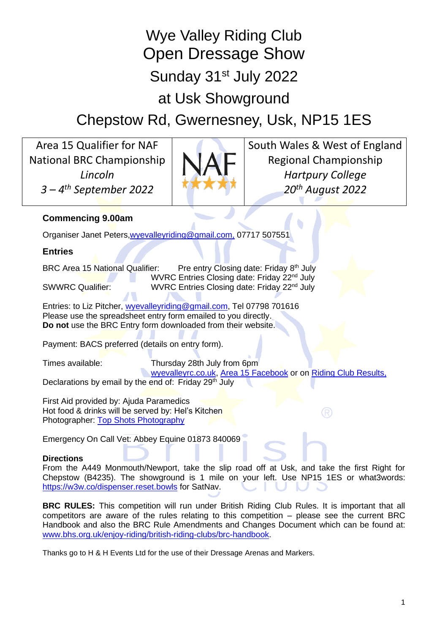Wye Valley Riding Club Open Dressage Show Sunday 31<sup>st</sup> July 2022 at Usk Showground

Chepstow Rd, Gwernesney, Usk, NP15 1ES

Area 15 Qualifier for NAF National BRC Championship *Lincoln 3 – 4 th September 2022*



South Wales & West of England Regional Championship *Hartpury College 20 th August 2022*

# **Commencing 9.00am**

Organiser Janet Peters[,wyevalleyriding@gmail.com,](about:blank) 07717 507551

# **Entries**

BRC Area 15 National Qualifier: Pre entry Closing date: Friday 8<sup>th</sup> July WVRC Entries Closing date: Friday 22<sup>nd</sup> July SWWRC Qualifier: WVRC Entries Closing date: Friday 22<sup>nd</sup> July

Entries: to Liz Pitcher, [wyevalleyriding@gmail.com,](mailto:wyevalleyriding@gmail.com?subject=WVRC%20Dressage%20Qualifier%20Entry%20Form) Tel 07798 701616 Please use the spreadsheet entry form emailed to you directly. **Do not** use the BRC Entry form downloaded from their website.

Payment: BACS preferred (details on entry form).

Times available: Thursday 28th July from 6pm **Wyevalleyrc.co.uk, [Area 15 Facebook](https://www.facebook.com/groups/223293591423369/) or on [Riding Club Results,](https://www.ridingclubresults.co.uk/)** Declarations by email by the end of: Friday 29<sup>th</sup> July

First Aid provided by: Ajuda Paramedics Hot food & drinks will be served by: Hel's Kitchen Photographer: [Top Shots Photography](https://www.topshots.org.uk/gallery/#/)

Emergency On Call Vet: Abbey Equine 01873 840069

## **Directions**

From the A449 Monmouth/Newport, take the slip road off at Usk, and take the first Right for Chepstow (B4235). The showground is 1 mile on your left. Use NP15 1ES or what3words: <https://w3w.co/dispenser.reset.bowls> for SatNav.

**BRC RULES:** This competition will run under British Riding Club Rules. It is important that all competitors are aware of the rules relating to this competition – please see the current BRC Handbook and also the BRC Rule Amendments and Changes Document which can be found at: [www.bhs.org.uk/enjoy-riding/british-riding-clubs/brc-handbook.](http://www.bhs.org.uk/enjoy-riding/british-riding-clubs/brc-handbook)

Thanks go to H & H Events Ltd for the use of their Dressage Arenas and Markers.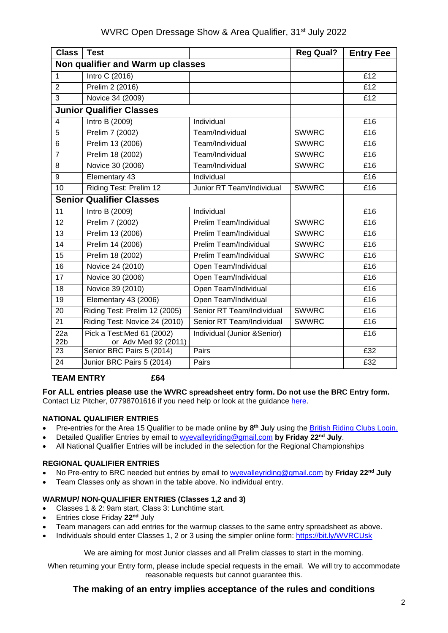| <b>Class</b>                      | <b>Test</b>                                        |                              | <b>Reg Qual?</b> | <b>Entry Fee</b> |
|-----------------------------------|----------------------------------------------------|------------------------------|------------------|------------------|
| Non qualifier and Warm up classes |                                                    |                              |                  |                  |
| $\mathbf 1$                       | <b>Intro C (2016)</b>                              |                              |                  | E12              |
| $\overline{2}$                    | Prelim 2 (2016)                                    |                              |                  | E12              |
| 3                                 | Novice 34 (2009)                                   |                              |                  | £12              |
| <b>Junior Qualifier Classes</b>   |                                                    |                              |                  |                  |
| $\overline{4}$                    | Intro B (2009)                                     | Individual                   |                  | E16              |
| 5                                 | Prelim 7 (2002)                                    | Team/Individual              | <b>SWWRC</b>     | £16              |
| 6                                 | Prelim 13 (2006)                                   | Team/Individual              | <b>SWWRC</b>     | E16              |
| $\overline{7}$                    | Prelim 18 (2002)                                   | Team/Individual              | <b>SWWRC</b>     | £16              |
| 8                                 | Novice 30 (2006)                                   | Team/Individual              | <b>SWWRC</b>     | £16              |
| 9                                 | Elementary 43                                      | Individual                   |                  | £16              |
| 10                                | Riding Test: Prelim 12                             | Junior RT Team/Individual    | <b>SWWRC</b>     | £16              |
| <b>Senior Qualifier Classes</b>   |                                                    |                              |                  |                  |
| 11                                | Intro B (2009)                                     | Individual                   |                  | £16              |
| 12                                | Prelim 7 (2002)                                    | Prelim Team/Individual       | <b>SWWRC</b>     | £16              |
| 13                                | Prelim 13 (2006)                                   | Prelim Team/Individual       | <b>SWWRC</b>     | £16              |
| 14                                | Prelim 14 (2006)                                   | Prelim Team/Individual       | <b>SWWRC</b>     | £16              |
| 15                                | Prelim 18 (2002)                                   | Prelim Team/Individual       | <b>SWWRC</b>     | £16              |
| 16                                | Novice 24 (2010)                                   | Open Team/Individual         |                  | £16              |
| 17                                | Novice 30 (2006)                                   | Open Team/Individual         |                  | E16              |
| 18                                | Novice 39 (2010)                                   | Open Team/Individual         |                  | £16              |
| $\overline{19}$                   | Elementary 43 (2006)                               | Open Team/Individual         |                  | £16              |
| 20                                | Riding Test: Prelim 12 (2005)                      | Senior RT Team/Individual    | <b>SWWRC</b>     | £16              |
| $\overline{21}$                   | Riding Test: Novice 24 (2010)                      | Senior RT Team/Individual    | <b>SWWRC</b>     | E16              |
| 22a<br>22 <sub>b</sub>            | Pick a Test: Med 61 (2002)<br>or Adv Med 92 (2011) | Individual (Junior & Senior) |                  | £16              |
| 23                                | Senior BRC Pairs 5 (2014)                          | Pairs                        |                  | £32              |
| 24                                | Junior BRC Pairs 5 (2014)                          | Pairs                        |                  | £32              |
|                                   |                                                    |                              |                  |                  |

### **TEAM ENTRY £64**

**For ALL entries please use the WVRC spreadsheet entry form. Do not use the BRC Entry form.** Contact Liz Pitcher, 07798701616 if you need help or look at the guidance [here.](https://bit.ly/39pZk4y)

### **NATIONAL QUALIFIER ENTRIES**

- Pre**-**entries for the Area 15 Qualifier to be made online **by 8th Ju**ly using the [British Riding Clubs Login.](https://brc.bhs.org.uk/login)
- Detailed Qualifier Entries by email to [wyevalleyriding@gmail.com](mailto:wyevalleyriding@gmail.com) **by Friday 22nd July**.
- All National Qualifier Entries will be included in the selection for the Regional Championships

#### **REGIONAL QUALIFIER ENTRIES**

- No Pre-entry to BRC needed but entries by email to [wyevalleyriding@gmail.com](mailto:wyevalleyriding@gmail.com) by **Friday 22nd July**
- Team Classes only as shown in the table above. No individual entry.

#### **WARMUP/ NON-QUALIFIER ENTRIES (Classes 1,2 and 3)**

- Classes 1 & 2: 9am start, Class 3: Lunchtime start.
- Entries close Friday **22nd** July
- Team managers can add entries for the warmup classes to the same entry spreadsheet as above.
- Individuals should enter Classes 1, 2 or 3 using the simpler online form: <https://bit.ly/WVRCUsk>

We are aiming for most Junior classes and all Prelim classes to start in the morning.

When returning your Entry form, please include special requests in the email. We will try to accommodate reasonable requests but cannot guarantee this.

## **The making of an entry implies acceptance of the rules and conditions**